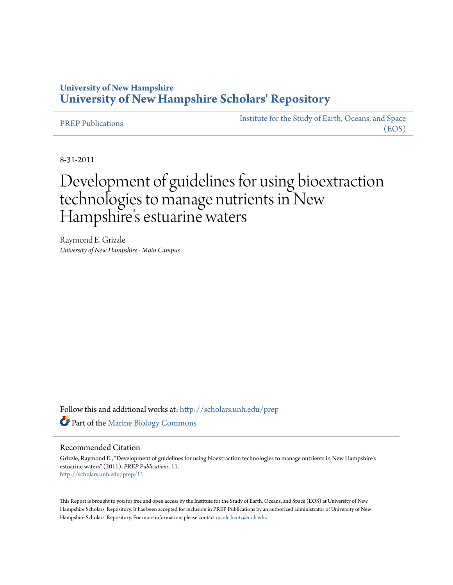# **University of New Hampshire [University of New Hampshire Scholars' Repository](http://scholars.unh.edu?utm_source=scholars.unh.edu%2Fprep%2F11&utm_medium=PDF&utm_campaign=PDFCoverPages)**

[PREP Publications](http://scholars.unh.edu/prep?utm_source=scholars.unh.edu%2Fprep%2F11&utm_medium=PDF&utm_campaign=PDFCoverPages) [Institute for the Study of Earth, Oceans, and Space](http://scholars.unh.edu/eos?utm_source=scholars.unh.edu%2Fprep%2F11&utm_medium=PDF&utm_campaign=PDFCoverPages) [\(EOS\)](http://scholars.unh.edu/eos?utm_source=scholars.unh.edu%2Fprep%2F11&utm_medium=PDF&utm_campaign=PDFCoverPages)

8-31-2011

# Development of guidelines for using bioextraction technologies to manage nutrients in New Hampshire's estuarine waters

Raymond E. Grizzle *University of New Hampshire - Main Campus*

Follow this and additional works at: [http://scholars.unh.edu/prep](http://scholars.unh.edu/prep?utm_source=scholars.unh.edu%2Fprep%2F11&utm_medium=PDF&utm_campaign=PDFCoverPages) Part of the [Marine Biology Commons](http://network.bepress.com/hgg/discipline/1126?utm_source=scholars.unh.edu%2Fprep%2F11&utm_medium=PDF&utm_campaign=PDFCoverPages)

#### Recommended Citation

Grizzle, Raymond E., "Development of guidelines for using bioextraction technologies to manage nutrients in New Hampshire's estuarine waters" (2011). *PREP Publications*. 11. [http://scholars.unh.edu/prep/11](http://scholars.unh.edu/prep/11?utm_source=scholars.unh.edu%2Fprep%2F11&utm_medium=PDF&utm_campaign=PDFCoverPages)

This Report is brought to you for free and open access by the Institute for the Study of Earth, Oceans, and Space (EOS) at University of New Hampshire Scholars' Repository. It has been accepted for inclusion in PREP Publications by an authorized administrator of University of New Hampshire Scholars' Repository. For more information, please contact [nicole.hentz@unh.edu.](mailto:nicole.hentz@unh.edu)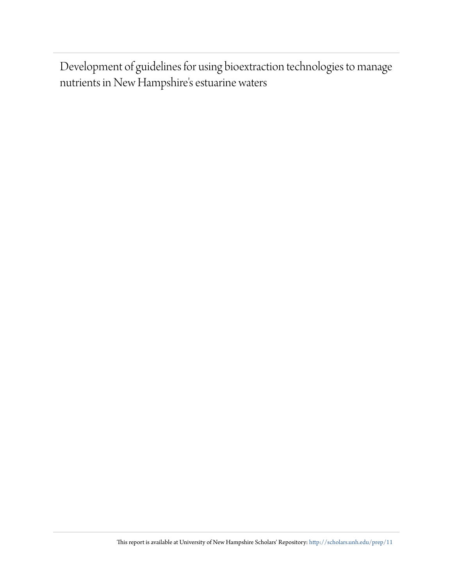Development of guidelines for using bioextraction technologies to manage nutrients in New Hampshire's estuarine waters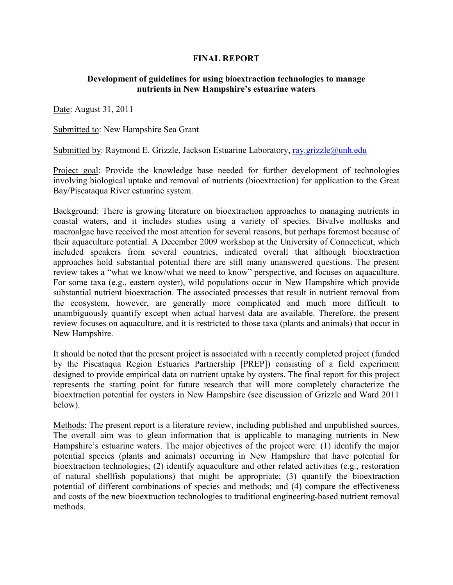## **FINAL REPORT**

#### **Development of guidelines for using bioextraction technologies to manage** nutrients in New Hampshire's estuarine waters

Date: August 31, 2011

Submitted to: New Hampshire Sea Grant

Submitted by: Raymond E. Grizzle, Jackson Estuarine Laboratory, ray.grizzle@unh.edu

Project goal: Provide the knowledge base needed for further development of technologies involving biological uptake and removal of nutrients (bioextraction) for application to the Great Bay/Piscataqua River estuarine system.

Background: There is growing literature on bioextraction approaches to managing nutrients in coastal waters, and it includes studies using a variety of species. Bivalve mollusks and macroalgae have received the most attention for several reasons, but perhaps foremost because of their aquaculture potential. A December 2009 workshop at the University of Connecticut, which included speakers from several countries, indicated overall that although bioextraction approaches hold substantial potential there are still many unanswered questions. The present review takes a "what we know/what we need to know" perspective, and focuses on aquaculture. For some taxa (e.g., eastern oyster), wild populations occur in New Hampshire which provide substantial nutrient bioextraction. The associated processes that result in nutrient removal from the ecosystem, however, are generally more complicated and much more difficult to unambiguously quantify except when actual harvest data are available. Therefore, the present review focuses on aquaculture, and it is restricted to those taxa (plants and animals) that occur in New Hampshire.

It should be noted that the present project is associated with a recently completed project (funded by the Piscataqua Region Estuaries Partnership [PREP]) consisting of a field experiment designed to provide empirical data on nutrient uptake by oysters. The final report for this project represents the starting point for future research that will more completely characterize the bioextraction potential for oysters in New Hampshire (see discussion of Grizzle and Ward 2011 below).

Methods: The present report is a literature review, including published and unpublished sources. The overall aim was to glean information that is applicable to managing nutrients in New Hampshire's estuarine waters. The major objectives of the project were: (1) identify the major potential species (plants and animals) occurring in New Hampshire that have potential for bioextraction technologies; (2) identify aquaculture and other related activities (e.g., restoration of natural shellfish populations) that might be appropriate; (3) quantify the bioextraction potential of different combinations of species and methods; and (4) compare the effectiveness and costs of the new bioextraction technologies to traditional engineering-based nutrient removal methods.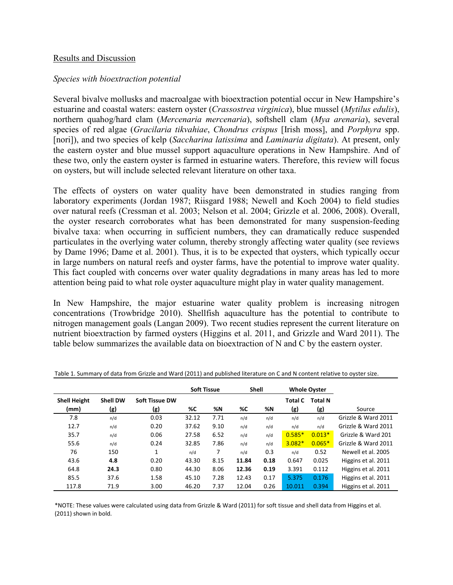#### Results and Discussion

### *Species with bioextraction potential*

Several bivalve mollusks and macroalgae with bioextraction potential occur in New Hampshire's estuarine and coastal waters: eastern oyster (*Crassostrea virginica*), blue mussel (*Mytilus edulis*), northern quahog/hard clam (*Mercenaria mercenaria*), softshell clam (*Mya arenaria*), several species of red algae (*Gracilaria tikvahiae*, *Chondrus crispus* [Irish moss], and *Porphyra* spp. [nori]), and two species of kelp (Saccharina latissima and *Laminaria digitata*). At present, only the eastern oyster and blue mussel support aquaculture operations in New Hampshire. And of these two, only the eastern oyster is farmed in estuarine waters. Therefore, this review will focus on oysters, but will include selected relevant literature on other taxa.

The effects of oysters on water quality have been demonstrated in studies ranging from laboratory experiments (Jordan 1987; Riisgard 1988; Newell and Koch 2004) to field studies over natural reefs (Cressman et al. 2003; Nelson et al. 2004; Grizzle et al. 2006, 2008). Overall, the oyster research corroborates what has been demonstrated for many suspension-feeding bivalve taxa: when occurring in sufficient numbers, they can dramatically reduce suspended particulates in the overlying water column, thereby strongly affecting water quality (see reviews by Dame 1996; Dame et al. 2001). Thus, it is to be expected that oysters, which typically occur in large numbers on natural reefs and oyster farms, have the potential to improve water quality. This fact coupled with concerns over water quality degradations in many areas has led to more attention being paid to what role oyster aquaculture might play in water quality management.

In New Hampshire, the major estuarine water quality problem is increasing nitrogen concentrations (Trowbridge 2010). Shellfish aquaculture has the potential to contribute to nitrogen management goals (Langan 2009). Two recent studies represent the current literature on nutrient bioextraction by farmed oysters (Higgins et al. 2011, and Grizzle and Ward 2011). The table below summarizes the available data on bioextraction of N and C by the eastern oyster.

|                     |                 |                       | <b>Soft Tissue</b> |      | <b>Shell</b> |      | <b>Whole Oyster</b> |                |                     |
|---------------------|-----------------|-----------------------|--------------------|------|--------------|------|---------------------|----------------|---------------------|
| <b>Shell Height</b> | <b>Shell DW</b> | <b>Soft Tissue DW</b> |                    |      |              |      | <b>Total C</b>      | <b>Total N</b> |                     |
| (mm)                | (g)             | (g)                   | %C                 | %N   | %C           | %N   | (g)                 | (g)            | Source              |
| 7.8                 | n/d             | 0.03                  | 32.12              | 7.71 | n/d          | n/d  | n/d                 | n/d            | Grizzle & Ward 2011 |
| 12.7                | n/d             | 0.20                  | 37.62              | 9.10 | n/d          | n/d  | n/d                 | n/d            | Grizzle & Ward 2011 |
| 35.7                | n/d             | 0.06                  | 27.58              | 6.52 | n/d          | n/d  | $0.585*$            | $0.013*$       | Grizzle & Ward 201  |
| 55.6                | n/d             | 0.24                  | 32.85              | 7.86 | n/d          | n/d  | $3.082*$            | $0.065*$       | Grizzle & Ward 2011 |
| 76                  | 150             | 1                     | n/d                | 7    | n/d          | 0.3  | n/d                 | 0.52           | Newell et al. 2005  |
| 43.6                | 4.8             | 0.20                  | 43.30              | 8.15 | 11.84        | 0.18 | 0.647               | 0.025          | Higgins et al. 2011 |
| 64.8                | 24.3            | 0.80                  | 44.30              | 8.06 | 12.36        | 0.19 | 3.391               | 0.112          | Higgins et al. 2011 |
| 85.5                | 37.6            | 1.58                  | 45.10              | 7.28 | 12.43        | 0.17 | 5.375               | 0.176          | Higgins et al. 2011 |
| 117.8               | 71.9            | 3.00                  | 46.20              | 7.37 | 12.04        | 0.26 | 10.011              | 0.394          | Higgins et al. 2011 |

Table 1. Summary of data from Grizzle and Ward (2011) and published literature on C and N content relative to oyster size.

\*NOTE: These values were calculated using data from Grizzle & Ward (2011) for soft tissue and shell data from Higgins et al. (2011) shown in bold.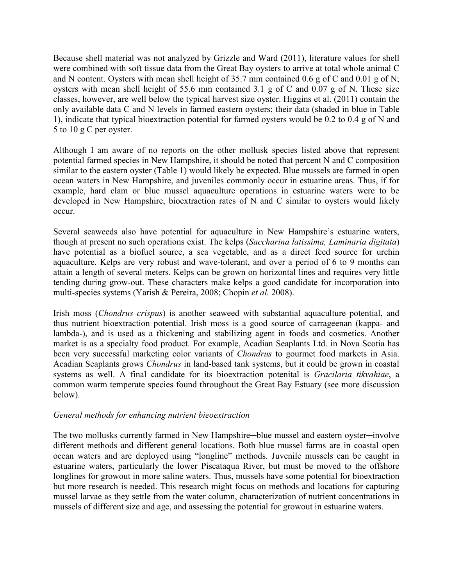Because shell material was not analyzed by Grizzle and Ward (2011), literature values for shell were combined with soft tissue data from the Great Bay oysters to arrive at total whole animal C and N content. Oysters with mean shell height of 35.7 mm contained 0.6 g of C and 0.01 g of N; oysters with mean shell height of 55.6 mm contained 3.1 g of C and 0.07 g of N. These size classes, however, are well below the typical harvest size oyster. Higgins et al. (2011) contain the only available data C and N levels in farmed eastern oysters; their data (shaded in blue in Table 1), indicate that typical bioextraction potential for farmed oysters would be 0.2 to 0.4 g of N and 5 to 10 g C per oyster.

Although I am aware of no reports on the other mollusk species listed above that represent potential farmed species in New Hampshire, it should be noted that percent N and C composition similar to the eastern oyster (Table 1) would likely be expected. Blue mussels are farmed in open ocean waters in New Hampshire, and juveniles commonly occur in estuarine areas. Thus, if for example, hard clam or blue mussel aquaculture operations in estuarine waters were to be developed in New Hampshire, bioextraction rates of N and C similar to oysters would likely occur.

Several seaweeds also have potential for aquaculture in New Hampshire's estuarine waters, though at present no such operations exist. The kelps (Saccharina latissima, Laminaria digitata) have potential as a biofuel source, a sea vegetable, and as a direct feed source for urchin aquaculture. Kelps are very robust and wave-tolerant, and over a period of 6 to 9 months can attain a length of several meters. Kelps can be grown on horizontal lines and requires very little tending during grow-out. These characters make kelps a good candidate for incorporation into multi-species systems (Yarish & Pereira, 2008; Chopin *et al.* 2008).

Irish moss (*Chondrus crispus*) is another seaweed with substantial aquaculture potential, and thus nutrient bioextraction potential. Irish moss is a good source of carrageenan (kappa- and lambda-), and is used as a thickening and stabilizing agent in foods and cosmetics. Another market is as a specialty food product. For example, Acadian Seaplants Ltd. in Nova Scotia has been very successful marketing color variants of *Chondrus* to gourmet food markets in Asia. Acadian Seaplants grows *Chondrus* in land-based tank systems, but it could be grown in coastal systems as well. A final candidate for its bioextraction potenital is *Gracilaria tikvahiae*, a common warm temperate species found throughout the Great Bay Estuary (see more discussion below).

# General methods for enhancing nutrient bieoextraction

The two mollusks currently farmed in New Hampshire—blue mussel and eastern oyster—involve different methods and different general locations. Both blue mussel farms are in coastal open ocean waters and are deployed using "longline" methods. Juvenile mussels can be caught in estuarine waters, particularly the lower Piscataqua River, but must be moved to the offshore longlines for growout in more saline waters. Thus, mussels have some potential for bioextraction but more research is needed. This research might focus on methods and locations for capturing mussel larvae as they settle from the water column, characterization of nutrient concentrations in mussels of different size and age, and assessing the potential for growout in estuarine waters.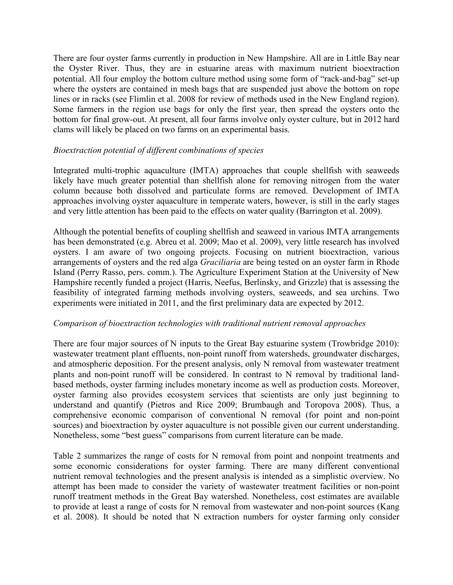There are four oyster farms currently in production in New Hampshire. All are in Little Bay near the Oyster River. Thus, they are in estuarine areas with maximum nutrient bioextraction potential. All four employ the bottom culture method using some form of "rack-and-bag" set-up where the oysters are contained in mesh bags that are suspended just above the bottom on rope lines or in racks (see Flimlin et al. 2008 for review of methods used in the New England region). Some farmers in the region use bags for only the first year, then spread the oysters onto the bottom for final grow-out. At present, all four farms involve only oyster culture, but in 2012 hard clams will likely be placed on two farms on an experimental basis.

### Bioextraction potential of different combinations of species

Integrated multi-trophic aquaculture (IMTA) approaches that couple shellfish with seaweeds likely have much greater potential than shellfish alone for removing nitrogen from the water column because both dissolved and particulate forms are removed. Development of IMTA approaches involving oyster aquaculture in temperate waters, however, is still in the early stages and very little attention has been paid to the effects on water quality (Barrington et al. 2009).

Although the potential benefits of coupling shellfish and seaweed in various IMTA arrangements has been demonstrated (e.g. Abreu et al. 2009; Mao et al. 2009), very little research has involved oysters. I am aware of two ongoing projects. Focusing on nutrient bioextraction, various arrangements of oysters and the red alga *Graciliaria* are being tested on an oyster farm in Rhode Island (Perry Rasso, pers. comm.). The Agriculture Experiment Station at the University of New Hampshire recently funded a project (Harris, Neefus, Berlinsky, and Grizzle) that is assessing the feasibility of integrated farming methods involving oysters, seaweeds, and sea urchins. Two experiments were initiated in 2011, and the first preliminary data are expected by 2012.

## $Comparison of bioextraction technologies with traditional nutrient removal approaches$

There are four major sources of N inputs to the Great Bay estuarine system (Trowbridge 2010): wastewater treatment plant effluents, non-point runoff from watersheds, groundwater discharges, and atmospheric deposition. For the present analysis, only N removal from wastewater treatment plants and non-point runoff will be considered. In contrast to N removal by traditional landbased methods, oyster farming includes monetary income as well as production costs. Moreover, oyster farming also provides ecosystem services that scientists are only just beginning to understand and quantify (Pietros and Rice 2009; Brumbaugh and Toropova 2008). Thus, a comprehensive economic comparison of conventional N removal (for point and non-point sources) and bioextraction by oyster aquaculture is not possible given our current understanding. Nonetheless, some "best guess" comparisons from current literature can be made.

Table 2 summarizes the range of costs for N removal from point and nonpoint treatments and some economic considerations for oyster farming. There are many different conventional nutrient removal technologies and the present analysis is intended as a simplistic overview. No attempt has been made to consider the variety of wastewater treatment facilities or non-point runoff treatment methods in the Great Bay watershed. Nonetheless, cost estimates are available to provide at least a range of costs for N removal from wastewater and non-point sources (Kang et al. 2008). It should be noted that N extraction numbers for oyster farming only consider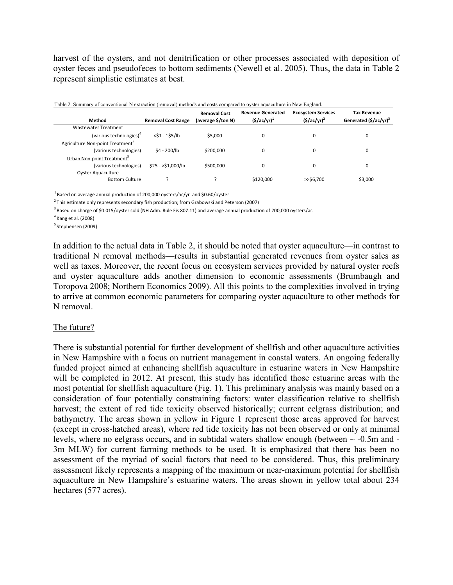harvest of the oysters, and not denitrification or other processes associated with deposition of oyster feces and pseudofeces to bottom sediments (Newell et al. 2005). Thus, the data in Table 2 represent simplistic estimates at best.

| Table 2. Summary of conventional N extraction (removal) methods and costs compared to oyster aquaculture in New England. |                           |                                           |                                               |                                                 |                                                         |  |  |  |  |  |
|--------------------------------------------------------------------------------------------------------------------------|---------------------------|-------------------------------------------|-----------------------------------------------|-------------------------------------------------|---------------------------------------------------------|--|--|--|--|--|
| Method                                                                                                                   | <b>Removal Cost Range</b> | <b>Removal Cost</b><br>(average \$/ton N) | <b>Revenue Generated</b><br>$($ \$/ac/yr) $1$ | <b>Ecosystem Services</b><br>$($ \$/ac/yr $)^2$ | <b>Tax Revenue</b><br>Generated (\$/ac/yr) <sup>3</sup> |  |  |  |  |  |
| <b>Wastewater Treatment</b>                                                                                              |                           |                                           |                                               |                                                 |                                                         |  |  |  |  |  |
| (various technologies) <sup>4</sup>                                                                                      | $<$ \$1 - ~\$5/lb         | \$5.000                                   | 0                                             |                                                 |                                                         |  |  |  |  |  |
| Agriculture Non-point Treatment <sup>3</sup>                                                                             |                           |                                           |                                               |                                                 |                                                         |  |  |  |  |  |
| (various technologies)                                                                                                   | \$4 - 200/lb              | \$200.000                                 | 0                                             |                                                 |                                                         |  |  |  |  |  |
| Urban Non-point Treatment <sup>5</sup>                                                                                   |                           |                                           |                                               |                                                 |                                                         |  |  |  |  |  |
| (various technologies)                                                                                                   | $$25 - $1,000/lb$         | \$500,000                                 | 0                                             |                                                 |                                                         |  |  |  |  |  |
| <b>Oyster Aquaculture</b>                                                                                                |                           |                                           |                                               |                                                 |                                                         |  |  |  |  |  |
| <b>Bottom Culture</b>                                                                                                    |                           |                                           | \$120,000                                     | $>>$ \$6,700                                    | \$3,000                                                 |  |  |  |  |  |

Table 2. Summary of conventional N extraction (removal) methods and costs compared to oyster aquaculture in New England.

 $^{1}$ Based on average annual production of 200,000 oysters/ac/yr and \$0.60/oyster

 $2$  This estimate only represents secondary fish production; from Grabowski and Peterson (2007)

 $3$  Based on charge of \$0.015/oyster sold (NH Adm. Rule Fis 807.11) and average annual production of 200,000 oysters/ac

 $<sup>4</sup>$  Kang et al. (2008)</sup>

<sup>5</sup> Stephensen (2009)

In addition to the actual data in Table 2, it should be noted that oyster aquaculture—in contrast to traditional N removal methods—results in substantial generated revenues from oyster sales as well as taxes. Moreover, the recent focus on ecosystem services provided by natural oyster reefs and oyster aquaculture adds another dimension to economic assessments (Brumbaugh and Toropova 2008; Northern Economics 2009). All this points to the complexities involved in trying to arrive at common economic parameters for comparing oyster aquaculture to other methods for N removal.

#### The future?

There is substantial potential for further development of shellfish and other aquaculture activities in New Hampshire with a focus on nutrient management in coastal waters. An ongoing federally funded project aimed at enhancing shellfish aquaculture in estuarine waters in New Hampshire will be completed in 2012. At present, this study has identified those estuarine areas with the most potential for shellfish aquaculture (Fig. 1). This preliminary analysis was mainly based on a consideration of four potentially constraining factors: water classification relative to shellfish harvest; the extent of red tide toxicity observed historically; current eelgrass distribution; and bathymetry. The areas shown in yellow in Figure 1 represent those areas approved for harvest (except in cross-hatched areas), where red tide toxicity has not been observed or only at minimal levels, where no eelgrass occurs, and in subtidal waters shallow enough (between  $\sim$  -0.5m and -3m MLW) for current farming methods to be used. It is emphasized that there has been no assessment of the myriad of social factors that need to be considered. Thus, this preliminary assessment likely represents a mapping of the maximum or near-maximum potential for shellfish aquaculture in New Hampshire's estuarine waters. The areas shown in yellow total about 234 hectares (577 acres).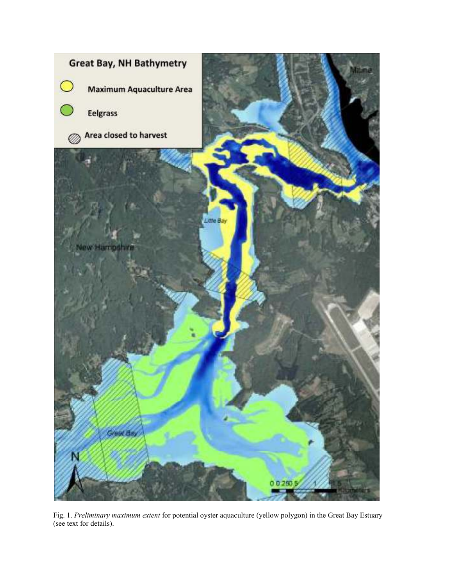

Fig. 1. Preliminary maximum extent for potential oyster aquaculture (yellow polygon) in the Great Bay Estuary (see text for details).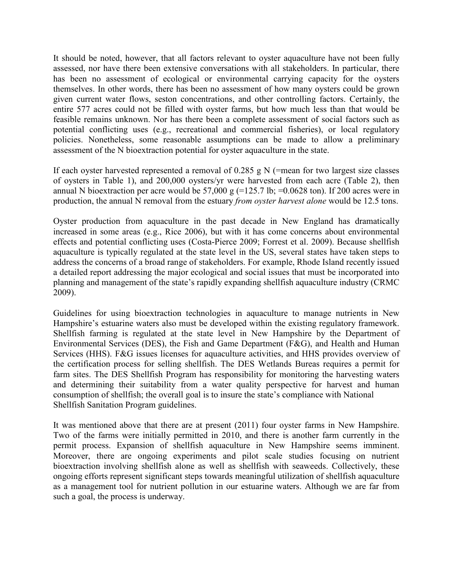It should be noted, however, that all factors relevant to oyster aquaculture have not been fully assessed, nor have there been extensive conversations with all stakeholders. In particular, there has been no assessment of ecological or environmental carrying capacity for the oysters themselves. In other words, there has been no assessment of how many oysters could be grown given current water flows, seston concentrations, and other controlling factors. Certainly, the entire 577 acres could not be filled with oyster farms, but how much less than that would be feasible remains unknown. Nor has there been a complete assessment of social factors such as potential conflicting uses (e.g., recreational and commercial fisheries), or local regulatory policies. Nonetheless, some reasonable assumptions can be made to allow a preliminary assessment of the N bioextraction potential for oyster aquaculture in the state.

If each oyster harvested represented a removal of  $0.285$  g N (=mean for two largest size classes of oysters in Table 1), and 200,000 oysters/yr were harvested from each acre (Table 2), then annual N bioextraction per acre would be  $57,000 \text{ g}$  (=125.7 lb; =0.0628 ton). If 200 acres were in production, the annual N removal from the estuary *from oyster harvest alone* would be 12.5 tons.

Oyster production from aquaculture in the past decade in New England has dramatically increased in some areas (e.g., Rice 2006), but with it has come concerns about environmental effects and potential conflicting uses (Costa-Pierce 2009; Forrest et al. 2009). Because shellfish aquaculture is typically regulated at the state level in the US, several states have taken steps to address the concerns of a broad range of stakeholders. For example, Rhode Island recently issued a detailed report addressing the major ecological and social issues that must be incorporated into planning and management of the state's rapidly expanding shellfish aquaculture industry (CRMC 2009).

Guidelines for using bioextraction technologies in aquaculture to manage nutrients in New Hampshire's estuarine waters also must be developed within the existing regulatory framework. Shellfish farming is regulated at the state level in New Hampshire by the Department of Environmental Services (DES), the Fish and Game Department (F&G), and Health and Human Services (HHS). F&G issues licenses for aquaculture activities, and HHS provides overview of the certification process for selling shellfish. The DES Wetlands Bureas requires a permit for farm sites. The DES Shellfish Program has responsibility for monitoring the harvesting waters and determining their suitability from a water quality perspective for harvest and human consumption of shellfish; the overall goal is to insure the state's compliance with National Shellfish Sanitation Program guidelines.

It was mentioned above that there are at present (2011) four oyster farms in New Hampshire. Two of the farms were initially permitted in 2010, and there is another farm currently in the permit process. Expansion of shellfish aquaculture in New Hampshire seems imminent. Moreover, there are ongoing experiments and pilot scale studies focusing on nutrient bioextraction involving shellfish alone as well as shellfish with seaweeds. Collectively, these ongoing efforts represent significant steps towards meaningful utilization of shellfish aquaculture as a management tool for nutrient pollution in our estuarine waters. Although we are far from such a goal, the process is underway.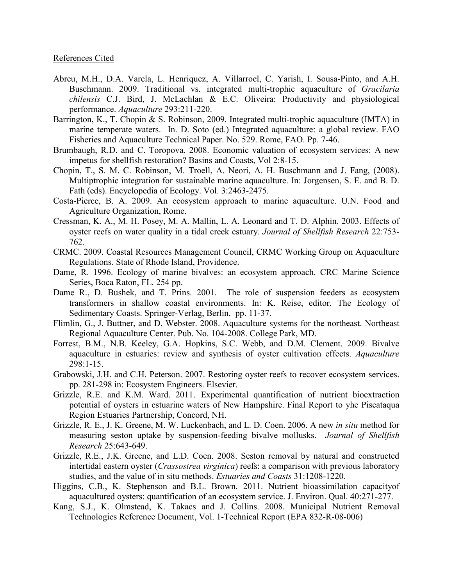#### References Cited

- Abreu, M.H., D.A. Varela, L. Henriquez, A. Villarroel, C. Yarish, I. Sousa-Pinto, and A.H. Buschmann. 2009. Traditional vs. integrated multi-trophic aquaculture of Gracilaria chilensis C.J. Bird, J. McLachlan & E.C. Oliveira: Productivity and physiological performance. *Aquaculture* 293:211-220.
- Barrington, K., T. Chopin & S. Robinson, 2009. Integrated multi-trophic aquaculture (IMTA) in marine temperate waters. In. D. Soto (ed.) Integrated aquaculture: a global review. FAO Fisheries and Aquaculture Technical Paper. No. 529. Rome, FAO. Pp. 7-46.
- Brumbaugh, R.D. and C. Toropova. 2008. Economic valuation of ecosystem services: A new impetus for shellfish restoration? Basins and Coasts, Vol 2:8-15.
- Chopin, T., S. M. C. Robinson, M. Troell, A. Neori, A. H. Buschmann and J. Fang, (2008). Multiptrophic integration for sustainable marine aquaculture. In: Jorgensen, S. E. and B. D. Fath (eds). Encyclopedia of Ecology. Vol. 3:2463-2475.
- Costa-Pierce, B. A. 2009. An ecosystem approach to marine aquaculture. U.N. Food and Agriculture Organization, Rome.
- Cressman, K. A., M. H. Posey, M. A. Mallin, L. A. Leonard and T. D. Alphin. 2003. Effects of oyster reefs on water quality in a tidal creek estuary. *Journal of Shellfish Research* 22:753-762.
- CRMC. 2009. Coastal Resources Management Council, CRMC Working Group on Aquaculture Regulations. State of Rhode Island, Providence.
- Dame, R. 1996. Ecology of marine bivalves: an ecosystem approach. CRC Marine Science Series, Boca Raton, FL. 254 pp.
- Dame R., D. Bushek, and T. Prins. 2001. The role of suspension feeders as ecosystem transformers in shallow coastal environments. In: K. Reise, editor. The Ecology of Sedimentary Coasts. Springer-Verlag, Berlin. pp. 11-37.
- Flimlin, G., J. Buttner, and D. Webster. 2008. Aquaculture systems for the northeast. Northeast Regional Aquaculture Center. Pub. No. 104-2008. College Park, MD.
- Forrest, B.M., N.B. Keeley, G.A. Hopkins, S.C. Webb, and D.M. Clement. 2009. Bivalve aquaculture in estuaries: review and synthesis of oyster cultivation effects. *Aquaculture*  $298:1-15.$
- Grabowski, J.H. and C.H. Peterson. 2007. Restoring oyster reefs to recover ecosystem services. pp. 281-298 in: Ecosystem Engineers. Elsevier.
- Grizzle, R.E. and K.M. Ward. 2011. Experimental quantification of nutrient bioextraction potential of oysters in estuarine waters of New Hampshire. Final Report to yhe Piscataqua Region Estuaries Partnership, Concord, NH.
- Grizzle, R. E., J. K. Greene, M. W. Luckenbach, and L. D. Coen. 2006. A new *in situ* method for measuring seston uptake by suspension-feeding bivalve mollusks. *Journal of Shellfish Research* 25:643-649.
- Grizzle, R.E., J.K. Greene, and L.D. Coen. 2008. Seston removal by natural and constructed intertidal eastern oyster *(Crassostrea virginica)* reefs: a comparison with previous laboratory studies, and the value of in situ methods. *Estuaries and Coasts* 31:1208-1220.
- Higgins, C.B., K. Stephenson and B.L. Brown. 2011. Nutrient bioassimilation capacityof aquacultured oysters: quantification of an ecosystem service. J. Environ. Qual.  $40:271-277$ .
- Kang, S.J., K. Olmstead, K. Takacs and J. Collins. 2008. Municipal Nutrient Removal Technologies Reference Document, Vol. 1-Technical Report (EPA 832-R-08-006)